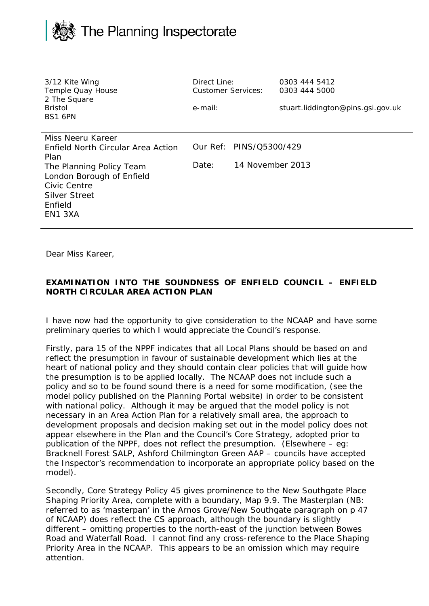

| 3/12 Kite Wing<br>Temple Quay House<br>2 The Square<br><b>Bristol</b><br>BS1 6PN                                                                                                              | Direct Line:<br><b>Customer Services:</b><br>e-mail: |                                             | 0303 444 5412<br>0303 444 5000<br>stuart.liddington@pins.gsi.gov.uk |
|-----------------------------------------------------------------------------------------------------------------------------------------------------------------------------------------------|------------------------------------------------------|---------------------------------------------|---------------------------------------------------------------------|
| Miss Neeru Kareer<br><b>Fnfield North Circular Area Action</b><br>Plan<br>The Planning Policy Team<br>London Borough of Enfield<br>Civic Centre<br><b>Silver Street</b><br>Enfield<br>EN1 3XA | Date:                                                | Our Ref: PINS/Q5300/429<br>14 November 2013 |                                                                     |

Dear Miss Kareer,

## **EXAMINATION INTO THE SOUNDNESS OF ENFIELD COUNCIL – ENFIELD NORTH CIRCULAR AREA ACTION PLAN**

I have now had the opportunity to give consideration to the NCAAP and have some preliminary queries to which I would appreciate the Council's response.

Firstly, para 15 of the NPPF indicates that all Local Plans should be based on and reflect the presumption in favour of sustainable development which lies at the heart of national policy and they should contain clear policies that will guide how the presumption is to be applied locally. The NCAAP does not include such a policy and so to be found sound there is a need for some modification, (see the model policy published on the Planning Portal website) in order to be consistent with national policy. Although it may be argued that the model policy is not necessary in an Area Action Plan for a relatively small area, the approach to development proposals and decision making set out in the model policy does not appear elsewhere in the Plan and the Council's Core Strategy, adopted prior to publication of the NPPF, does not reflect the presumption. (Elsewhere – eg: Bracknell Forest SALP, Ashford Chilmington Green AAP – councils have accepted the Inspector's recommendation to incorporate an appropriate policy based on the model).

Secondly, Core Strategy Policy 45 gives prominence to the New Southgate Place Shaping Priority Area, complete with a boundary, Map 9.9. The Masterplan (NB: referred to as 'masterpan' in the Arnos Grove/New Southgate paragraph on p 47 of NCAAP) does reflect the CS approach, although the boundary is slightly different – omitting properties to the north-east of the junction between Bowes Road and Waterfall Road. I cannot find any cross-reference to the Place Shaping Priority Area in the NCAAP. This appears to be an omission which may require attention.